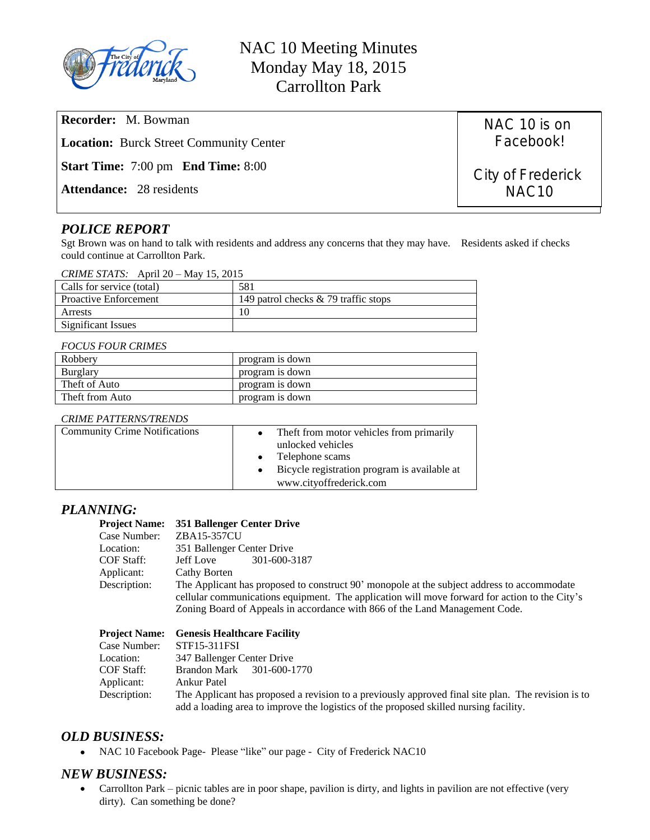

**Recorder:** M. Bowman

**Location:** Burck Street Community Center

**Start Time:** 7:00 pm **End Time:** 8:00

**Attendance:** 28 residents

# *POLICE REPORT*

Sgt Brown was on hand to talk with residents and address any concerns that they may have. Residents asked if checks could continue at Carrollton Park.

| Calls for service (total)    | 581                                  |
|------------------------------|--------------------------------------|
| <b>Proactive Enforcement</b> | 149 patrol checks & 79 traffic stops |
| Arrests                      |                                      |
| Significant Issues           |                                      |

### *FOCUS FOUR CRIMES*

| Robbery         | program is down |
|-----------------|-----------------|
| Burglary        | program is down |
| Theft of Auto   | program is down |
| Theft from Auto | program is down |

#### *CRIME PATTERNS/TRENDS*

| <b>Community Crime Notifications</b> | The f from motor vehicles from primarily<br>unlocked vehicles<br>• Telephone scams<br>Bicycle registration program is available at<br>www.cityoffrederick.com |
|--------------------------------------|---------------------------------------------------------------------------------------------------------------------------------------------------------------|
|--------------------------------------|---------------------------------------------------------------------------------------------------------------------------------------------------------------|

# *PLANNING:*

|              | Project Name: 351 Ballenger Center Drive                                                                                                                                                    |  |
|--------------|---------------------------------------------------------------------------------------------------------------------------------------------------------------------------------------------|--|
| Case Number: | ZBA15-357CU                                                                                                                                                                                 |  |
| Location:    | 351 Ballenger Center Drive                                                                                                                                                                  |  |
| COF Staff:   | 301-600-3187<br>Jeff Love                                                                                                                                                                   |  |
| Applicant:   | Cathy Borten                                                                                                                                                                                |  |
| Description: | The Applicant has proposed to construct 90' monopole at the subject address to accommodate<br>cellular communications equipment. The application will move forward for action to the City's |  |
|              | Zoning Board of Appeals in accordance with 866 of the Land Management Code.                                                                                                                 |  |

|              | <b>Project Name:</b> Genesis Healthcare Facility                                                   |
|--------------|----------------------------------------------------------------------------------------------------|
| Case Number: | STF15-311FSI                                                                                       |
| Location:    | 347 Ballenger Center Drive                                                                         |
| COF Staff:   | Brandon Mark 301-600-1770                                                                          |
| Applicant:   | <b>Ankur Patel</b>                                                                                 |
| Description: | The Applicant has proposed a revision to a previously approved final site plan. The revision is to |
|              | add a loading area to improve the logistics of the proposed skilled nursing facility.              |

# *OLD BUSINESS:*

NAC 10 Facebook Page- Please "like" our page - City of Frederick NAC10

# *NEW BUSINESS:*

 Carrollton Park – picnic tables are in poor shape, pavilion is dirty, and lights in pavilion are not effective (very dirty). Can something be done?

NAC 10 is on Facebook!

City of Frederick NAC10